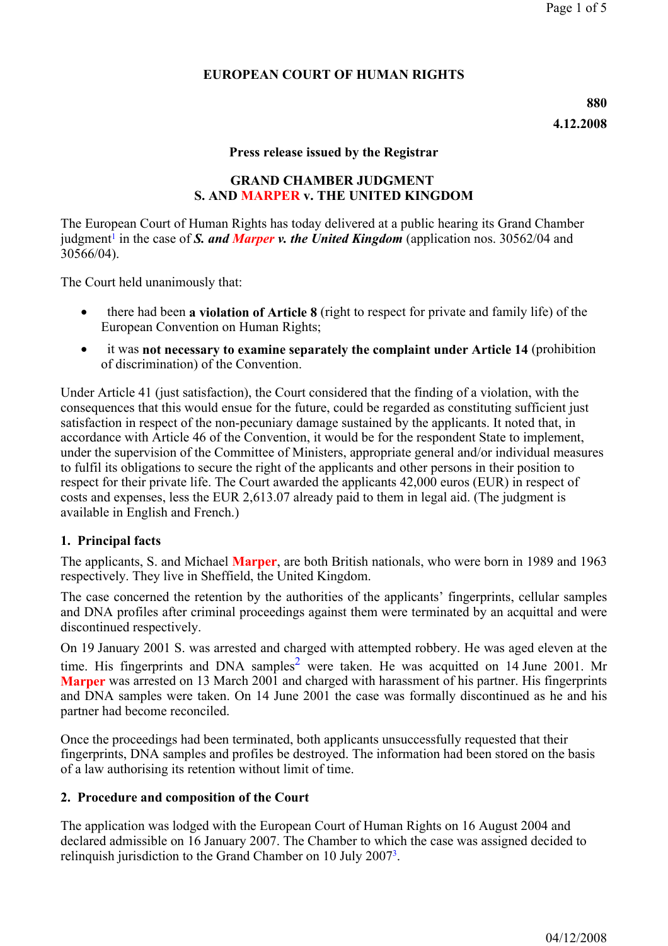## **EUROPEAN COURT OF HUMAN RIGHTS**

#### **Press release issued by the Registrar**

#### **GRAND CHAMBER JUDGMENT S. AND MARPER v. THE UNITED KINGDOM**

The European Court of Human Rights has today delivered at a public hearing its Grand Chamber judgment<sup>1</sup> in the case of *S. and Marper v. the United Kingdom* (application nos. 30562/04 and 30566/04).

The Court held unanimously that:

- there had been **a violation of Article 8** (right to respect for private and family life) of the European Convention on Human Rights;
- it was **not necessary to examine separately the complaint under Article 14** (prohibition of discrimination) of the Convention.

Under Article 41 (just satisfaction), the Court considered that the finding of a violation, with the consequences that this would ensue for the future, could be regarded as constituting sufficient just satisfaction in respect of the non-pecuniary damage sustained by the applicants. It noted that, in accordance with Article 46 of the Convention, it would be for the respondent State to implement, under the supervision of the Committee of Ministers, appropriate general and/or individual measures to fulfil its obligations to secure the right of the applicants and other persons in their position to respect for their private life. The Court awarded the applicants 42,000 euros (EUR) in respect of costs and expenses, less the EUR 2,613.07 already paid to them in legal aid. (The judgment is available in English and French.)

## **1. Principal facts**

The applicants, S. and Michael **Marper**, are both British nationals, who were born in 1989 and 1963 respectively. They live in Sheffield, the United Kingdom.

The case concerned the retention by the authorities of the applicants' fingerprints, cellular samples and DNA profiles after criminal proceedings against them were terminated by an acquittal and were discontinued respectively.

On 19 January 2001 S. was arrested and charged with attempted robbery. He was aged eleven at the time. His fingerprints and DNA samples<sup>2</sup> were taken. He was acquitted on 14 June 2001. Mr **Marper** was arrested on 13 March 2001 and charged with harassment of his partner. His fingerprints and DNA samples were taken. On 14 June 2001 the case was formally discontinued as he and his partner had become reconciled.

Once the proceedings had been terminated, both applicants unsuccessfully requested that their fingerprints, DNA samples and profiles be destroyed. The information had been stored on the basis of a law authorising its retention without limit of time.

## **2. Procedure and composition of the Court**

The application was lodged with the European Court of Human Rights on 16 August 2004 and declared admissible on 16 January 2007. The Chamber to which the case was assigned decided to relinquish jurisdiction to the Grand Chamber on 10 July 20073.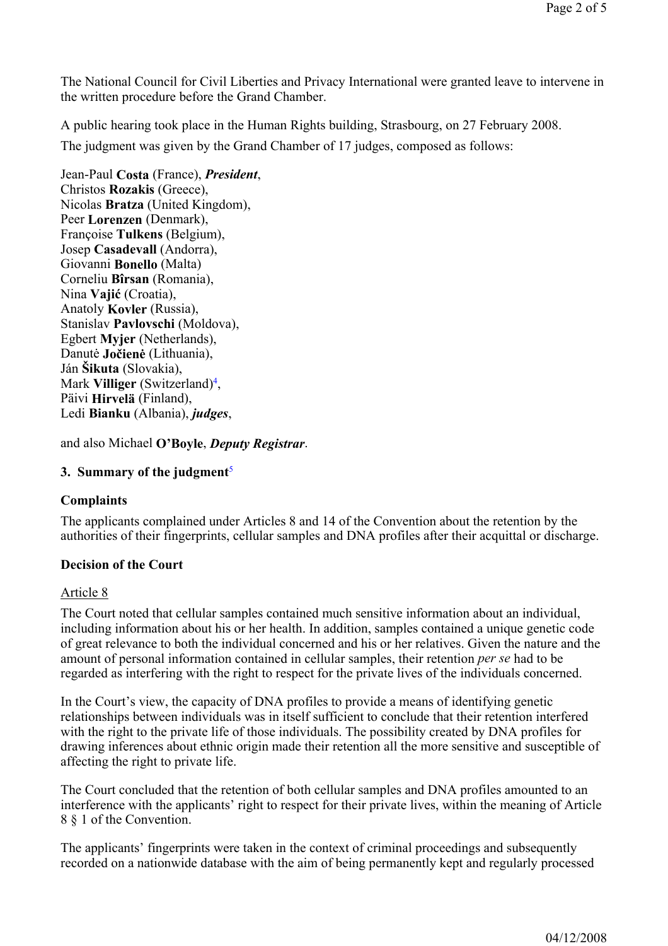The National Council for Civil Liberties and Privacy International were granted leave to intervene in the written procedure before the Grand Chamber.

A public hearing took place in the Human Rights building, Strasbourg, on 27 February 2008.

The judgment was given by the Grand Chamber of 17 judges, composed as follows:

Jean-Paul **Costa** (France), *President*, Christos **Rozakis** (Greece), Nicolas **Bratza** (United Kingdom), Peer **Lorenzen** (Denmark), Françoise **Tulkens** (Belgium), Josep **Casadevall** (Andorra), Giovanni **Bonello** (Malta) Corneliu **Bîrsan** (Romania), Nina **Vajić** (Croatia), Anatoly **Kovler** (Russia), Stanislav **Pavlovschi** (Moldova), Egbert **Myjer** (Netherlands), Danutė **Jočienė** (Lithuania), Ján **Šikuta** (Slovakia), Mark **Villiger** (Switzerland)4, Päivi **Hirvelä** (Finland), Ledi **Bianku** (Albania), *judges*,

and also Michael **O'Boyle**, *Deputy Registrar*.

## **3. Summary of the judgment**<sup>5</sup>

## **Complaints**

The applicants complained under Articles 8 and 14 of the Convention about the retention by the authorities of their fingerprints, cellular samples and DNA profiles after their acquittal or discharge.

# **Decision of the Court**

## Article 8

The Court noted that cellular samples contained much sensitive information about an individual, including information about his or her health. In addition, samples contained a unique genetic code of great relevance to both the individual concerned and his or her relatives. Given the nature and the amount of personal information contained in cellular samples, their retention *per se* had to be regarded as interfering with the right to respect for the private lives of the individuals concerned.

In the Court's view, the capacity of DNA profiles to provide a means of identifying genetic relationships between individuals was in itself sufficient to conclude that their retention interfered with the right to the private life of those individuals. The possibility created by DNA profiles for drawing inferences about ethnic origin made their retention all the more sensitive and susceptible of affecting the right to private life.

The Court concluded that the retention of both cellular samples and DNA profiles amounted to an interference with the applicants' right to respect for their private lives, within the meaning of Article 8 § 1 of the Convention.

The applicants' fingerprints were taken in the context of criminal proceedings and subsequently recorded on a nationwide database with the aim of being permanently kept and regularly processed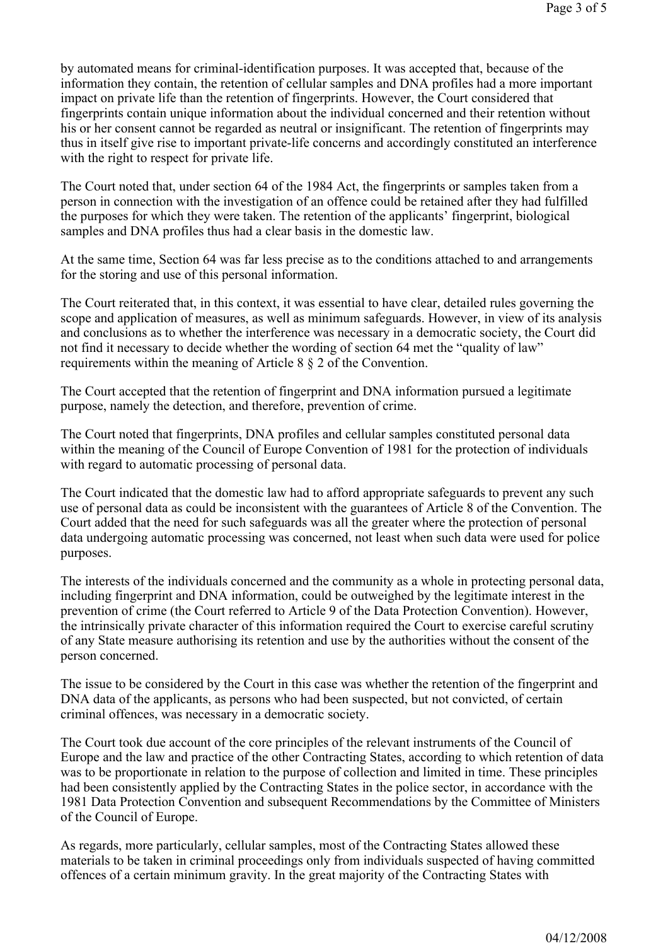by automated means for criminal-identification purposes. It was accepted that, because of the information they contain, the retention of cellular samples and DNA profiles had a more important impact on private life than the retention of fingerprints. However, the Court considered that fingerprints contain unique information about the individual concerned and their retention without his or her consent cannot be regarded as neutral or insignificant. The retention of fingerprints may thus in itself give rise to important private-life concerns and accordingly constituted an interference with the right to respect for private life.

The Court noted that, under section 64 of the 1984 Act, the fingerprints or samples taken from a person in connection with the investigation of an offence could be retained after they had fulfilled the purposes for which they were taken. The retention of the applicants' fingerprint, biological samples and DNA profiles thus had a clear basis in the domestic law.

At the same time, Section 64 was far less precise as to the conditions attached to and arrangements for the storing and use of this personal information.

The Court reiterated that, in this context, it was essential to have clear, detailed rules governing the scope and application of measures, as well as minimum safeguards. However, in view of its analysis and conclusions as to whether the interference was necessary in a democratic society, the Court did not find it necessary to decide whether the wording of section 64 met the "quality of law" requirements within the meaning of Article 8 § 2 of the Convention.

The Court accepted that the retention of fingerprint and DNA information pursued a legitimate purpose, namely the detection, and therefore, prevention of crime.

The Court noted that fingerprints, DNA profiles and cellular samples constituted personal data within the meaning of the Council of Europe Convention of 1981 for the protection of individuals with regard to automatic processing of personal data.

The Court indicated that the domestic law had to afford appropriate safeguards to prevent any such use of personal data as could be inconsistent with the guarantees of Article 8 of the Convention. The Court added that the need for such safeguards was all the greater where the protection of personal data undergoing automatic processing was concerned, not least when such data were used for police purposes.

The interests of the individuals concerned and the community as a whole in protecting personal data, including fingerprint and DNA information, could be outweighed by the legitimate interest in the prevention of crime (the Court referred to Article 9 of the Data Protection Convention). However, the intrinsically private character of this information required the Court to exercise careful scrutiny of any State measure authorising its retention and use by the authorities without the consent of the person concerned.

The issue to be considered by the Court in this case was whether the retention of the fingerprint and DNA data of the applicants, as persons who had been suspected, but not convicted, of certain criminal offences, was necessary in a democratic society.

The Court took due account of the core principles of the relevant instruments of the Council of Europe and the law and practice of the other Contracting States, according to which retention of data was to be proportionate in relation to the purpose of collection and limited in time. These principles had been consistently applied by the Contracting States in the police sector, in accordance with the 1981 Data Protection Convention and subsequent Recommendations by the Committee of Ministers of the Council of Europe.

As regards, more particularly, cellular samples, most of the Contracting States allowed these materials to be taken in criminal proceedings only from individuals suspected of having committed offences of a certain minimum gravity. In the great majority of the Contracting States with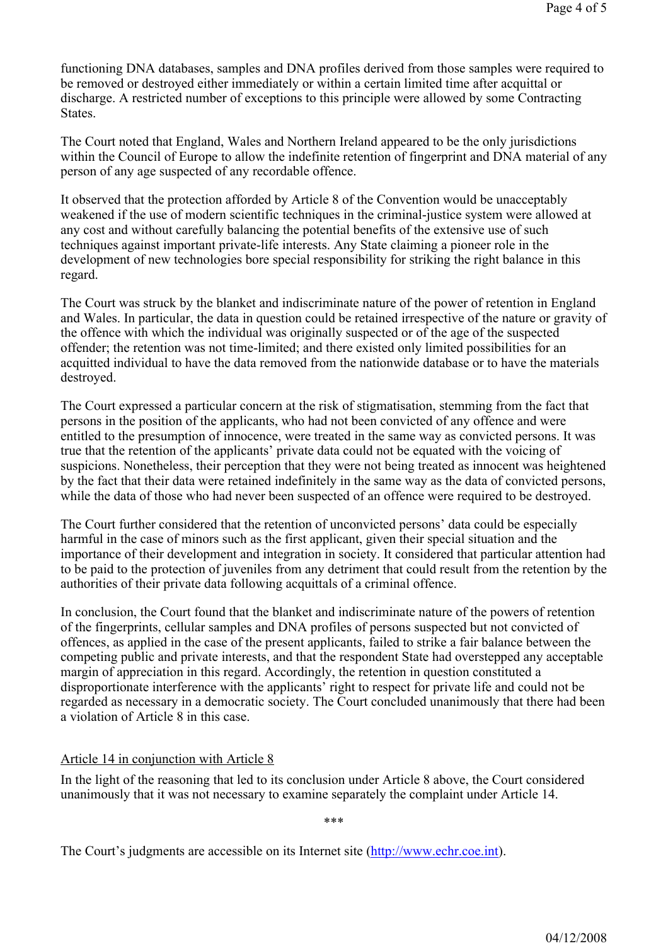functioning DNA databases, samples and DNA profiles derived from those samples were required to be removed or destroyed either immediately or within a certain limited time after acquittal or discharge. A restricted number of exceptions to this principle were allowed by some Contracting States.

The Court noted that England, Wales and Northern Ireland appeared to be the only jurisdictions within the Council of Europe to allow the indefinite retention of fingerprint and DNA material of any person of any age suspected of any recordable offence.

It observed that the protection afforded by Article 8 of the Convention would be unacceptably weakened if the use of modern scientific techniques in the criminal-justice system were allowed at any cost and without carefully balancing the potential benefits of the extensive use of such techniques against important private-life interests. Any State claiming a pioneer role in the development of new technologies bore special responsibility for striking the right balance in this regard.

The Court was struck by the blanket and indiscriminate nature of the power of retention in England and Wales. In particular, the data in question could be retained irrespective of the nature or gravity of the offence with which the individual was originally suspected or of the age of the suspected offender; the retention was not time-limited; and there existed only limited possibilities for an acquitted individual to have the data removed from the nationwide database or to have the materials destroyed.

The Court expressed a particular concern at the risk of stigmatisation, stemming from the fact that persons in the position of the applicants, who had not been convicted of any offence and were entitled to the presumption of innocence, were treated in the same way as convicted persons. It was true that the retention of the applicants' private data could not be equated with the voicing of suspicions. Nonetheless, their perception that they were not being treated as innocent was heightened by the fact that their data were retained indefinitely in the same way as the data of convicted persons, while the data of those who had never been suspected of an offence were required to be destroyed.

The Court further considered that the retention of unconvicted persons' data could be especially harmful in the case of minors such as the first applicant, given their special situation and the importance of their development and integration in society. It considered that particular attention had to be paid to the protection of juveniles from any detriment that could result from the retention by the authorities of their private data following acquittals of a criminal offence.

In conclusion, the Court found that the blanket and indiscriminate nature of the powers of retention of the fingerprints, cellular samples and DNA profiles of persons suspected but not convicted of offences, as applied in the case of the present applicants, failed to strike a fair balance between the competing public and private interests, and that the respondent State had overstepped any acceptable margin of appreciation in this regard. Accordingly, the retention in question constituted a disproportionate interference with the applicants' right to respect for private life and could not be regarded as necessary in a democratic society. The Court concluded unanimously that there had been a violation of Article 8 in this case.

## Article 14 in conjunction with Article 8

In the light of the reasoning that led to its conclusion under Article 8 above, the Court considered unanimously that it was not necessary to examine separately the complaint under Article 14.

\*\*\*

The Court's judgments are accessible on its Internet site (http://www.echr.coe.int).